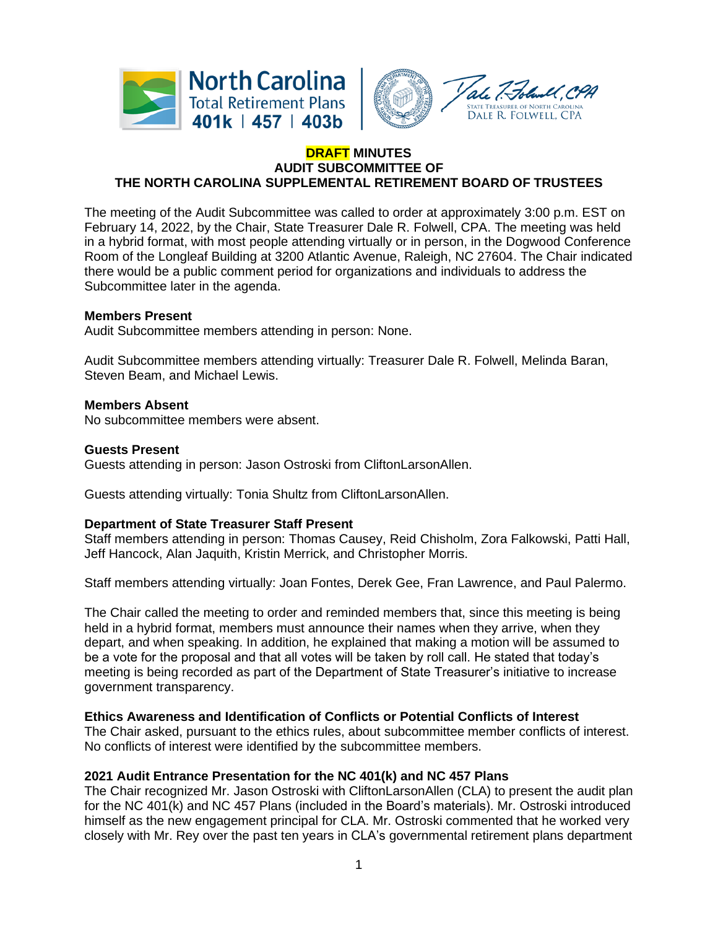



## **DRAFT MINUTES AUDIT SUBCOMMITTEE OF THE NORTH CAROLINA SUPPLEMENTAL RETIREMENT BOARD OF TRUSTEES**

The meeting of the Audit Subcommittee was called to order at approximately 3:00 p.m. EST on February 14, 2022, by the Chair, State Treasurer Dale R. Folwell, CPA. The meeting was held in a hybrid format, with most people attending virtually or in person, in the Dogwood Conference Room of the Longleaf Building at 3200 Atlantic Avenue, Raleigh, NC 27604. The Chair indicated there would be a public comment period for organizations and individuals to address the Subcommittee later in the agenda.

### **Members Present**

Audit Subcommittee members attending in person: None.

Audit Subcommittee members attending virtually: Treasurer Dale R. Folwell, Melinda Baran, Steven Beam, and Michael Lewis.

## **Members Absent**

No subcommittee members were absent.

### **Guests Present**

Guests attending in person: Jason Ostroski from CliftonLarsonAllen.

Guests attending virtually: Tonia Shultz from CliftonLarsonAllen.

### **Department of State Treasurer Staff Present**

Staff members attending in person: Thomas Causey, Reid Chisholm, Zora Falkowski, Patti Hall, Jeff Hancock, Alan Jaquith, Kristin Merrick, and Christopher Morris.

Staff members attending virtually: Joan Fontes, Derek Gee, Fran Lawrence, and Paul Palermo.

The Chair called the meeting to order and reminded members that, since this meeting is being held in a hybrid format, members must announce their names when they arrive, when they depart, and when speaking. In addition, he explained that making a motion will be assumed to be a vote for the proposal and that all votes will be taken by roll call. He stated that today's meeting is being recorded as part of the Department of State Treasurer's initiative to increase government transparency.

# **Ethics Awareness and Identification of Conflicts or Potential Conflicts of Interest**

The Chair asked, pursuant to the ethics rules, about subcommittee member conflicts of interest. No conflicts of interest were identified by the subcommittee members.

### **2021 Audit Entrance Presentation for the NC 401(k) and NC 457 Plans**

The Chair recognized Mr. Jason Ostroski with CliftonLarsonAllen (CLA) to present the audit plan for the NC 401(k) and NC 457 Plans (included in the Board's materials). Mr. Ostroski introduced himself as the new engagement principal for CLA. Mr. Ostroski commented that he worked very closely with Mr. Rey over the past ten years in CLA's governmental retirement plans department